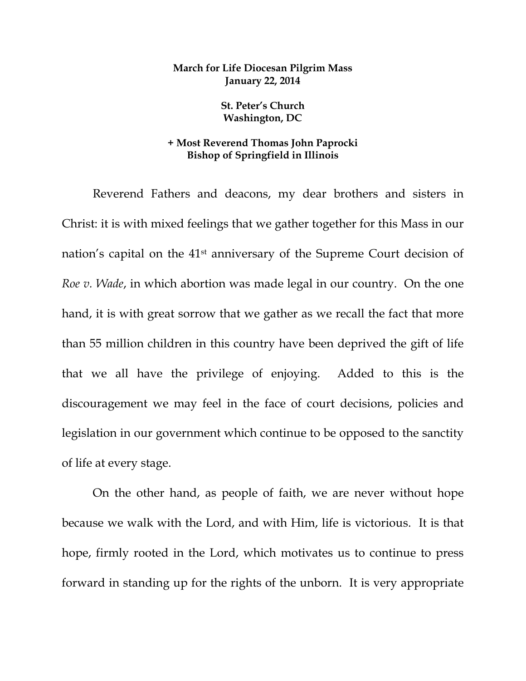## **March for Life Diocesan Pilgrim Mass January 22, 2014**

**St. Peter's Church Washington, DC** 

## **+ Most Reverend Thomas John Paprocki Bishop of Springfield in Illinois**

Reverend Fathers and deacons, my dear brothers and sisters in Christ: it is with mixed feelings that we gather together for this Mass in our nation's capital on the 41st anniversary of the Supreme Court decision of *Roe v. Wade*, in which abortion was made legal in our country. On the one hand, it is with great sorrow that we gather as we recall the fact that more than 55 million children in this country have been deprived the gift of life that we all have the privilege of enjoying. Added to this is the discouragement we may feel in the face of court decisions, policies and legislation in our government which continue to be opposed to the sanctity of life at every stage.

On the other hand, as people of faith, we are never without hope because we walk with the Lord, and with Him, life is victorious. It is that hope, firmly rooted in the Lord, which motivates us to continue to press forward in standing up for the rights of the unborn. It is very appropriate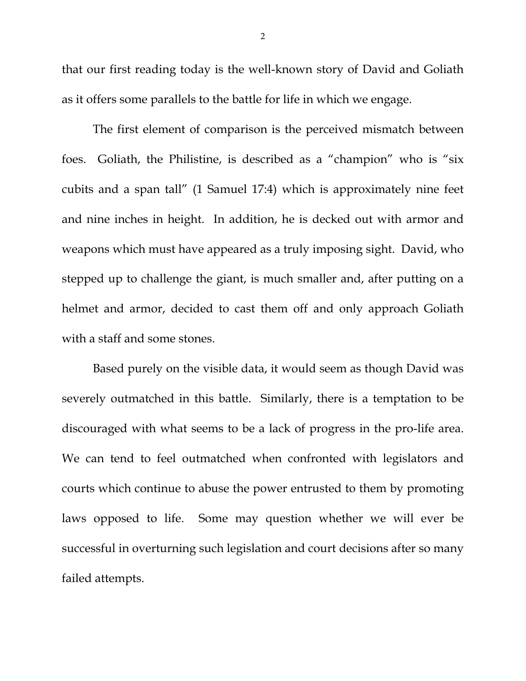that our first reading today is the well-known story of David and Goliath as it offers some parallels to the battle for life in which we engage.

The first element of comparison is the perceived mismatch between foes. Goliath, the Philistine, is described as a "champion" who is "six cubits and a span tall" (1 Samuel 17:4) which is approximately nine feet and nine inches in height. In addition, he is decked out with armor and weapons which must have appeared as a truly imposing sight. David, who stepped up to challenge the giant, is much smaller and, after putting on a helmet and armor, decided to cast them off and only approach Goliath with a staff and some stones.

Based purely on the visible data, it would seem as though David was severely outmatched in this battle. Similarly, there is a temptation to be discouraged with what seems to be a lack of progress in the pro-life area. We can tend to feel outmatched when confronted with legislators and courts which continue to abuse the power entrusted to them by promoting laws opposed to life. Some may question whether we will ever be successful in overturning such legislation and court decisions after so many failed attempts.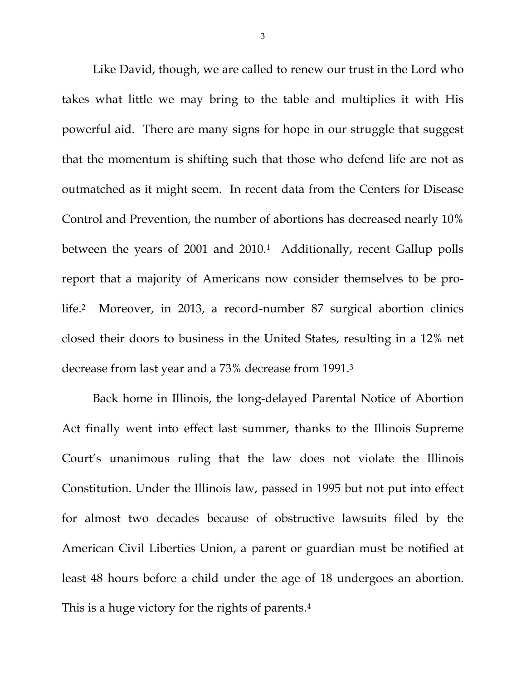Like David, though, we are called to renew our trust in the Lord who takes what little we may bring to the table and multiplies it with His powerful aid. There are many signs for hope in our struggle that suggest that the momentum is shifting such that those who defend life are not as outmatched as it might seem. In recent data from the Centers for Disease Control and Prevention, the number of abortions has decreased nearly 10% between the years of 2001 and 2010.<sup>1</sup> Additionally, recent Gallup polls report that a majority of Americans now consider themselves to be prolife.2 Moreover, in 2013, a record-number 87 surgical abortion clinics closed their doors to business in the United States, resulting in a 12% net decrease from last year and a 73% decrease from 1991.3

Back home in Illinois, the long-delayed Parental Notice of Abortion Act finally went into effect last summer, thanks to the Illinois Supreme Court's unanimous ruling that the law does not violate the Illinois Constitution. Under the Illinois law, passed in 1995 but not put into effect for almost two decades because of obstructive lawsuits filed by the American Civil Liberties Union, a parent or guardian must be notified at least 48 hours before a child under the age of 18 undergoes an abortion. This is a huge victory for the rights of parents.<sup>4</sup>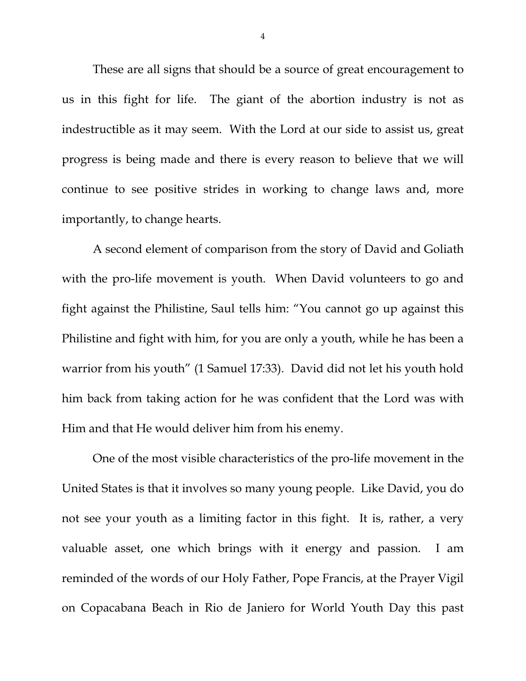These are all signs that should be a source of great encouragement to us in this fight for life. The giant of the abortion industry is not as indestructible as it may seem. With the Lord at our side to assist us, great progress is being made and there is every reason to believe that we will continue to see positive strides in working to change laws and, more importantly, to change hearts.

A second element of comparison from the story of David and Goliath with the pro-life movement is youth. When David volunteers to go and fight against the Philistine, Saul tells him: "You cannot go up against this Philistine and fight with him, for you are only a youth, while he has been a warrior from his youth" (1 Samuel 17:33). David did not let his youth hold him back from taking action for he was confident that the Lord was with Him and that He would deliver him from his enemy.

One of the most visible characteristics of the pro-life movement in the United States is that it involves so many young people. Like David, you do not see your youth as a limiting factor in this fight. It is, rather, a very valuable asset, one which brings with it energy and passion. I am reminded of the words of our Holy Father, Pope Francis, at the Prayer Vigil on Copacabana Beach in Rio de Janiero for World Youth Day this past

4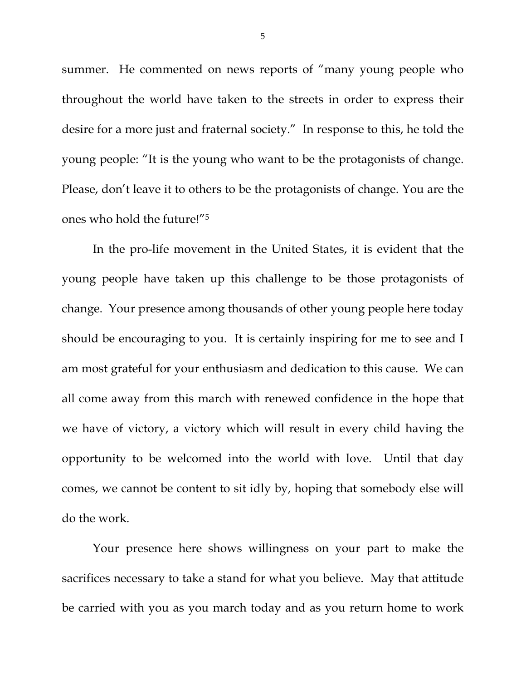summer. He commented on news reports of "many young people who throughout the world have taken to the streets in order to express their desire for a more just and fraternal society." In response to this, he told the young people: "It is the young who want to be the protagonists of change. Please, don't leave it to others to be the protagonists of change. You are the ones who hold the future!"5

In the pro-life movement in the United States, it is evident that the young people have taken up this challenge to be those protagonists of change. Your presence among thousands of other young people here today should be encouraging to you. It is certainly inspiring for me to see and I am most grateful for your enthusiasm and dedication to this cause. We can all come away from this march with renewed confidence in the hope that we have of victory, a victory which will result in every child having the opportunity to be welcomed into the world with love. Until that day comes, we cannot be content to sit idly by, hoping that somebody else will do the work.

Your presence here shows willingness on your part to make the sacrifices necessary to take a stand for what you believe. May that attitude be carried with you as you march today and as you return home to work

5